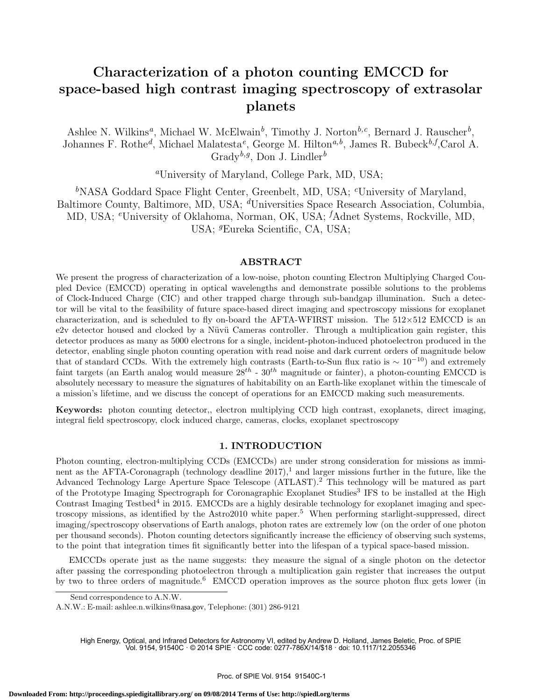# Characterization of a photon counting EMCCD for space-based high contrast imaging spectroscopy of extrasolar planets

Ashlee N. Wilkins<sup>*a*</sup>, Michael W. McElwain<sup>b</sup>, Timothy J. Norton<sup>b,c</sup>, Bernard J. Rauscher<sup>b</sup>, Johannes F. Rothe<sup>d</sup>, Michael Malatesta<sup>e</sup>, George M. Hilton<sup>a,b</sup>, James R. Bubeck<sup>b,f</sup>,Carol A. Grady<sup>b, g</sup>, Don J. Lindler<sup>b</sup>

<sup>a</sup>University of Maryland, College Park, MD, USA;

 ${}^b$ NASA Goddard Space Flight Center, Greenbelt, MD, USA; <sup>c</sup>University of Maryland, Baltimore County, Baltimore, MD, USA; <sup>d</sup>Universities Space Research Association, Columbia, MD, USA; <sup>e</sup>University of Oklahoma, Norman, OK, USA; <sup>f</sup>Adnet Systems, Rockville, MD, USA; <sup>g</sup>Eureka Scientific, CA, USA;

# ABSTRACT

We present the progress of characterization of a low-noise, photon counting Electron Multiplying Charged Coupled Device (EMCCD) operating in optical wavelengths and demonstrate possible solutions to the problems of Clock-Induced Charge (CIC) and other trapped charge through sub-bandgap illumination. Such a detector will be vital to the feasibility of future space-based direct imaging and spectroscopy missions for exoplanet characterization, and is scheduled to fly on-board the AFTA-WFIRST mission. The  $512\times512$  EMCCD is an e2v detector housed and clocked by a Nüvü Cameras controller. Through a multiplication gain register, this detector produces as many as 5000 electrons for a single, incident-photon-induced photoelectron produced in the detector, enabling single photon counting operation with read noise and dark current orders of magnitude below that of standard CCDs. With the extremely high contrasts (Earth-to-Sun flux ratio is  $\sim 10^{-10}$ ) and extremely faint targets (an Earth analog would measure  $28^{th}$  -  $30^{th}$  magnitude or fainter), a photon-counting EMCCD is absolutely necessary to measure the signatures of habitability on an Earth-like exoplanet within the timescale of a mission's lifetime, and we discuss the concept of operations for an EMCCD making such measurements.

Keywords: photon counting detector,, electron multiplying CCD high contrast, exoplanets, direct imaging, integral field spectroscopy, clock induced charge, cameras, clocks, exoplanet spectroscopy

# 1. INTRODUCTION

Photon counting, electron-multiplying CCDs (EMCCDs) are under strong consideration for missions as imminent as the AFTA-Coronagraph (technology deadline  $2017$ ),<sup>1</sup> and larger missions further in the future, like the Advanced Technology Large Aperture Space Telescope (ATLAST).<sup>2</sup> This technology will be matured as part of the Prototype Imaging Spectrograph for Coronagraphic Exoplanet Studies<sup>3</sup> IFS to be installed at the High Contrast Imaging Testbed<sup>4</sup> in 2015. EMCCDs are a highly desirable technology for exoplanet imaging and spectroscopy missions, as identified by the Astro2010 white paper.<sup>5</sup> When performing starlight-suppressed, direct imaging/spectroscopy observations of Earth analogs, photon rates are extremely low (on the order of one photon per thousand seconds). Photon counting detectors significantly increase the efficiency of observing such systems, to the point that integration times fit significantly better into the lifespan of a typical space-based mission.

EMCCDs operate just as the name suggests: they measure the signal of a single photon on the detector after passing the corresponding photoelectron through a multiplication gain register that increases the output by two to three orders of magnitude.<sup>6</sup> EMCCD operation improves as the source photon flux gets lower (in

High Energy, Optical, and Infrared Detectors for Astronomy VI, edited by Andrew D. Holland, James Beletic, Proc. of SPIE Vol. 9154, 91540C · © 2014 SPIE · CCC code: 0277-786X/14/\$18 · doi: 10.1117/12.2055346

Send correspondence to A.N.W.

A.N.W.: E-mail: ashlee.n.wilkins@nasa.gov, Telephone: (301) 286-9121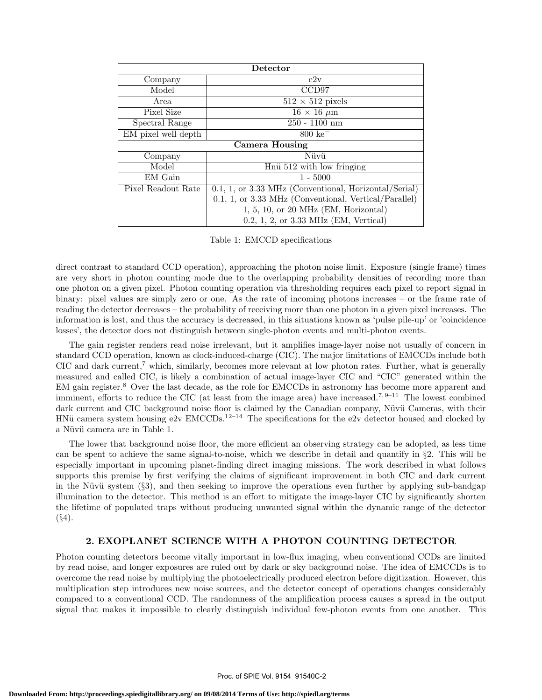| Detector            |                                                          |  |  |  |
|---------------------|----------------------------------------------------------|--|--|--|
| Company             | e2v                                                      |  |  |  |
| Model               | CCD97                                                    |  |  |  |
| Area                | $512 \times 512$ pixels                                  |  |  |  |
| Pixel Size          | $16 \times 16 \ \mu m$                                   |  |  |  |
| Spectral Range      | $250 - 1100$ nm                                          |  |  |  |
| EM pixel well depth | $800 \text{ ke}^{-1}$                                    |  |  |  |
| Camera Housing      |                                                          |  |  |  |
| Company             | Nüvü                                                     |  |  |  |
| Model               | Hnü 512 with low fringing                                |  |  |  |
| EM Gain             | $1 - 5000$                                               |  |  |  |
| Pixel Readout Rate  | 0.1, 1, or 3.33 MHz (Conventional, Horizontal/Serial)    |  |  |  |
|                     | 0.1, 1, or 3.33 MHz (Conventional, Vertical/Parallel)    |  |  |  |
|                     | $1, 5, 10, or 20 MHz$ (EM, Horizontal)                   |  |  |  |
|                     | $0.2, 1, 2, \text{ or } 3.33 \text{ MHz (EM, Vertical)}$ |  |  |  |

Table 1: EMCCD specifications

direct contrast to standard CCD operation), approaching the photon noise limit. Exposure (single frame) times are very short in photon counting mode due to the overlapping probability densities of recording more than one photon on a given pixel. Photon counting operation via thresholding requires each pixel to report signal in binary: pixel values are simply zero or one. As the rate of incoming photons increases – or the frame rate of reading the detector decreases – the probability of receiving more than one photon in a given pixel increases. The information is lost, and thus the accuracy is decreased, in this situations known as 'pulse pile-up' or 'coincidence losses', the detector does not distinguish between single-photon events and multi-photon events.

The gain register renders read noise irrelevant, but it amplifies image-layer noise not usually of concern in standard CCD operation, known as clock-induced-charge (CIC). The major limitations of EMCCDs include both CIC and dark current,<sup>7</sup> which, similarly, becomes more relevant at low photon rates. Further, what is generally measured and called CIC, is likely a combination of actual image-layer CIC and "CIC" generated within the EM gain register.<sup>8</sup> Over the last decade, as the role for EMCCDs in astronomy has become more apparent and imminent, efforts to reduce the CIC (at least from the image area) have increased.<sup>7,9–11</sup> The lowest combined dark current and CIC background noise floor is claimed by the Canadian company, Nüvü Cameras, with their HNü camera system housing e2v EMCCDs.<sup>12–14</sup> The specifications for the e2v detector housed and clocked by a Nüvü camera are in Table 1.

The lower that background noise floor, the more efficient an observing strategy can be adopted, as less time can be spent to achieve the same signal-to-noise, which we describe in detail and quantify in §2. This will be especially important in upcoming planet-finding direct imaging missions. The work described in what follows supports this premise by first verifying the claims of significant improvement in both CIC and dark current in the Nüvü system  $(\S 3)$ , and then seeking to improve the operations even further by applying sub-bandgap illumination to the detector. This method is an effort to mitigate the image-layer CIC by significantly shorten the lifetime of populated traps without producing unwanted signal within the dynamic range of the detector  $(§4).$ 

#### 2. EXOPLANET SCIENCE WITH A PHOTON COUNTING DETECTOR

Photon counting detectors become vitally important in low-flux imaging, when conventional CCDs are limited by read noise, and longer exposures are ruled out by dark or sky background noise. The idea of EMCCDs is to overcome the read noise by multiplying the photoelectrically produced electron before digitization. However, this multiplication step introduces new noise sources, and the detector concept of operations changes considerably compared to a conventional CCD. The randomness of the amplification process causes a spread in the output signal that makes it impossible to clearly distinguish individual few-photon events from one another. This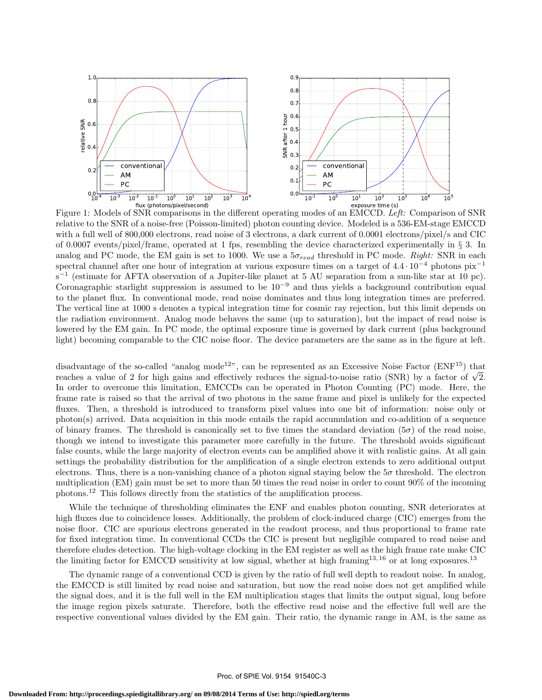

Figure 1: Models of SNR comparisons in the different operating modes of an EMCCD. Left: Comparison of SNR relative to the SNR of a noise-free (Poisson-limited) photon counting device. Modeled is a 536-EM-stage EMCCD with a full well of 800,000 electrons, read noise of 3 electrons, a dark current of 0.0001 electrons/pixel/s and CIC of 0.0007 events/pixel/frame, operated at 1 fps, resembling the device characterized experimentally in § 3. In analog and PC mode, the EM gain is set to 1000. We use a  $5\sigma_{read}$  threshold in PC mode. Right: SNR in each spectral channel after one hour of integration at various exposure times on a target of  $4.4 \cdot 10^{-4}$  photons pix<sup>-1</sup>  $s^{-1}$  (estimate for AFTA observation of a Jupiter-like planet at 5 AU separation from a sun-like star at 10 pc). Coronagraphic starlight suppression is assumed to be  $10^{-9}$  and thus yields a background contribution equal to the planet flux. In conventional mode, read noise dominates and thus long integration times are preferred. The vertical line at 1000 s denotes a typical integration time for cosmic ray rejection, but this limit depends on the radiation environment. Analog mode behaves the same (up to saturation), but the impact of read noise is lowered by the EM gain. In PC mode, the optimal exposure time is governed by dark current (plus background light) becoming comparable to the CIC noise floor. The device parameters are the same as in the figure at left.

disadvantage of the so-called "analog mode<sup>12"</sup>, can be represented as an Excessive Noise Factor ( $ENF<sup>15</sup>$ ) that disadvantage of the so-called "analog mode<sup>---"</sup>, can be represented as an Excessive Noise ractor (ENF<sup>--\*</sup>) that reaches a value of 2 for high gains and effectively reduces the signal-to-noise ratio (SNR) by a factor of In order to overcome this limitation, EMCCDs can be operated in Photon Counting (PC) mode. Here, the frame rate is raised so that the arrival of two photons in the same frame and pixel is unlikely for the expected fluxes. Then, a threshold is introduced to transform pixel values into one bit of information: noise only or photon(s) arrived. Data acquisition in this mode entails the rapid accumulation and co-addition of a sequence of binary frames. The threshold is canonically set to five times the standard deviation ( $5\sigma$ ) of the read noise, though we intend to investigate this parameter more carefully in the future. The threshold avoids significant false counts, while the large majority of electron events can be amplified above it with realistic gains. At all gain settings the probability distribution for the amplification of a single electron extends to zero additional output electrons. Thus, there is a non-vanishing chance of a photon signal staying below the  $5\sigma$  threshold. The electron multiplication (EM) gain must be set to more than 50 times the read noise in order to count 90% of the incoming photons.<sup>12</sup> This follows directly from the statistics of the amplification process.

While the technique of thresholding eliminates the ENF and enables photon counting, SNR deteriorates at high fluxes due to coincidence losses. Additionally, the problem of clock-induced charge (CIC) emerges from the noise floor. CIC are spurious electrons generated in the readout process, and thus proportional to frame rate for fixed integration time. In conventional CCDs the CIC is present but negligible compared to read noise and therefore eludes detection. The high-voltage clocking in the EM register as well as the high frame rate make CIC the limiting factor for EMCCD sensitivity at low signal, whether at high framing<sup>13, 16</sup> or at long exposures.<sup>13</sup>

The dynamic range of a conventional CCD is given by the ratio of full well depth to readout noise. In analog, the EMCCD is still limited by read noise and saturation, but now the read noise does not get amplified while the signal does, and it is the full well in the EM multiplication stages that limits the output signal, long before the image region pixels saturate. Therefore, both the effective read noise and the effective full well are the respective conventional values divided by the EM gain. Their ratio, the dynamic range in AM, is the same as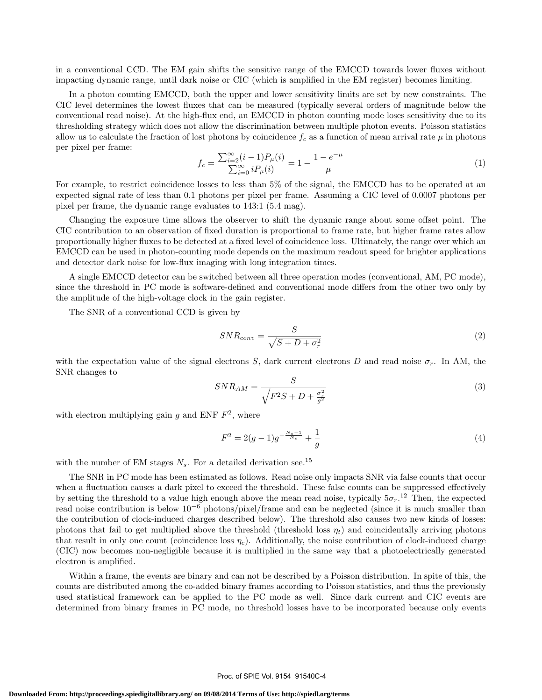in a conventional CCD. The EM gain shifts the sensitive range of the EMCCD towards lower fluxes without impacting dynamic range, until dark noise or CIC (which is amplified in the EM register) becomes limiting.

In a photon counting EMCCD, both the upper and lower sensitivity limits are set by new constraints. The CIC level determines the lowest fluxes that can be measured (typically several orders of magnitude below the conventional read noise). At the high-flux end, an EMCCD in photon counting mode loses sensitivity due to its thresholding strategy which does not allow the discrimination between multiple photon events. Poisson statistics allow us to calculate the fraction of lost photons by coincidence  $f_c$  as a function of mean arrival rate  $\mu$  in photons per pixel per frame:

$$
f_c = \frac{\sum_{i=2}^{\infty} (i-1) P_{\mu}(i)}{\sum_{i=0}^{\infty} i P_{\mu}(i)} = 1 - \frac{1 - e^{-\mu}}{\mu}
$$
(1)

For example, to restrict coincidence losses to less than 5% of the signal, the EMCCD has to be operated at an expected signal rate of less than 0.1 photons per pixel per frame. Assuming a CIC level of 0.0007 photons per pixel per frame, the dynamic range evaluates to 143:1 (5.4 mag).

Changing the exposure time allows the observer to shift the dynamic range about some offset point. The CIC contribution to an observation of fixed duration is proportional to frame rate, but higher frame rates allow proportionally higher fluxes to be detected at a fixed level of coincidence loss. Ultimately, the range over which an EMCCD can be used in photon-counting mode depends on the maximum readout speed for brighter applications and detector dark noise for low-flux imaging with long integration times.

A single EMCCD detector can be switched between all three operation modes (conventional, AM, PC mode), since the threshold in PC mode is software-defined and conventional mode differs from the other two only by the amplitude of the high-voltage clock in the gain register.

The SNR of a conventional CCD is given by

$$
SNR_{conv} = \frac{S}{\sqrt{S+D+\sigma_r^2}}\tag{2}
$$

with the expectation value of the signal electrons S, dark current electrons D and read noise  $\sigma_r$ . In AM, the SNR changes to

$$
SNR_{AM} = \frac{S}{\sqrt{F^2S + D + \frac{\sigma_r^2}{g^2}}}
$$
\n<sup>(3)</sup>

with electron multiplying gain g and ENF  $F^2$ , where

$$
F^2 = 2(g-1)g^{-\frac{N_s-1}{N_s}} + \frac{1}{g}
$$
\n<sup>(4)</sup>

with the number of EM stages  $N_s$ . For a detailed derivation see.<sup>15</sup>

The SNR in PC mode has been estimated as follows. Read noise only impacts SNR via false counts that occur when a fluctuation causes a dark pixel to exceed the threshold. These false counts can be suppressed effectively by setting the threshold to a value high enough above the mean read noise, typically  $5\sigma_r$ .<sup>12</sup> Then, the expected read noise contribution is below 10<sup>−</sup><sup>6</sup> photons/pixel/frame and can be neglected (since it is much smaller than the contribution of clock-induced charges described below). The threshold also causes two new kinds of losses: photons that fail to get multiplied above the threshold (threshold loss  $\eta_t$ ) and coincidentally arriving photons that result in only one count (coincidence loss  $\eta_c$ ). Additionally, the noise contribution of clock-induced charge (CIC) now becomes non-negligible because it is multiplied in the same way that a photoelectrically generated electron is amplified.

Within a frame, the events are binary and can not be described by a Poisson distribution. In spite of this, the counts are distributed among the co-added binary frames according to Poisson statistics, and thus the previously used statistical framework can be applied to the PC mode as well. Since dark current and CIC events are determined from binary frames in PC mode, no threshold losses have to be incorporated because only events

#### Proc. of SPIE Vol. 9154 91540C-4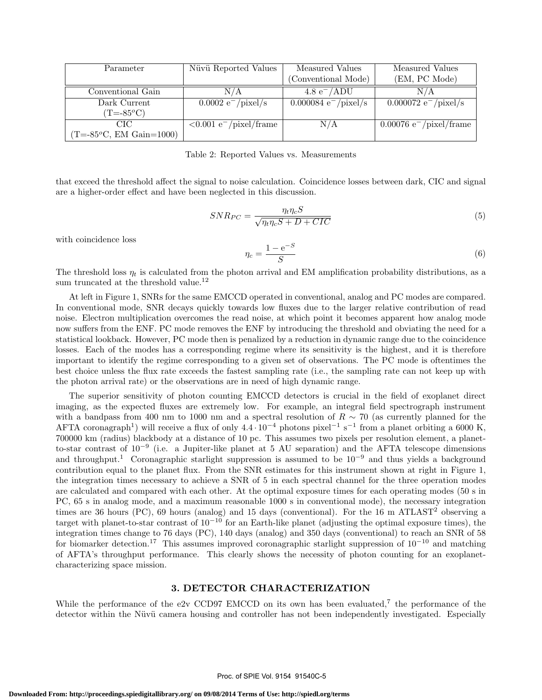| Parameter                          | Nüvü Reported Values                                    | Measured Values                         | Measured Values                       |
|------------------------------------|---------------------------------------------------------|-----------------------------------------|---------------------------------------|
|                                    |                                                         | (Conventional Mode)                     | (EM, PC Mode)                         |
| Conventional Gain                  | N/A                                                     | $4.8 e^- / ADU$                         | N/A                                   |
| Dark Current                       | $0.0002 \text{ e}^{-}/\text{pixel/s}$                   | $0.000084 \text{ e}^{-}/\text{pixel/s}$ | $0.000072$ e <sup>-</sup> /pixel/s    |
| $(T = -85^oC)$                     |                                                         |                                         |                                       |
| CIC                                | $\langle 0.001 \text{ e}^{-}/\text{pixel}/\text{frame}$ | N/A                                     | $0.00076$ e <sup>-</sup> /pixel/frame |
| $(T = -85^{\circ}C, EM Gain=1000)$ |                                                         |                                         |                                       |

Table 2: Reported Values vs. Measurements

that exceed the threshold affect the signal to noise calculation. Coincidence losses between dark, CIC and signal are a higher-order effect and have been neglected in this discussion.

$$
SNR_{PC} = \frac{\eta_t \eta_c S}{\sqrt{\eta_t \eta_c S + D + CIC}}
$$
\n
$$
\tag{5}
$$

with coincidence loss

$$
\eta_c = \frac{1 - e^{-S}}{S} \tag{6}
$$

The threshold loss  $\eta_t$  is calculated from the photon arrival and EM amplification probability distributions, as a sum truncated at the threshold value.<sup>12</sup>

At left in Figure 1, SNRs for the same EMCCD operated in conventional, analog and PC modes are compared. In conventional mode, SNR decays quickly towards low fluxes due to the larger relative contribution of read noise. Electron multiplication overcomes the read noise, at which point it becomes apparent how analog mode now suffers from the ENF. PC mode removes the ENF by introducing the threshold and obviating the need for a statistical lookback. However, PC mode then is penalized by a reduction in dynamic range due to the coincidence losses. Each of the modes has a corresponding regime where its sensitivity is the highest, and it is therefore important to identify the regime corresponding to a given set of observations. The PC mode is oftentimes the best choice unless the flux rate exceeds the fastest sampling rate (i.e., the sampling rate can not keep up with the photon arrival rate) or the observations are in need of high dynamic range.

The superior sensitivity of photon counting EMCCD detectors is crucial in the field of exoplanet direct imaging, as the expected fluxes are extremely low. For example, an integral field spectrograph instrument with a bandpass from 400 nm to 1000 nm and a spectral resolution of  $R \sim 70$  (as currently planned for the AFTA coronagraph<sup>1</sup>) will receive a flux of only  $4.4 \cdot 10^{-4}$  photons pixel<sup>-1</sup> s<sup>-1</sup> from a planet orbiting a 6000 K, 700000 km (radius) blackbody at a distance of 10 pc. This assumes two pixels per resolution element, a planetto-star contrast of  $10^{-9}$  (i.e. a Jupiter-like planet at 5 AU separation) and the AFTA telescope dimensions and throughput.<sup>1</sup> Coronagraphic starlight suppression is assumed to be  $10^{-9}$  and thus yields a background contribution equal to the planet flux. From the SNR estimates for this instrument shown at right in Figure 1, the integration times necessary to achieve a SNR of 5 in each spectral channel for the three operation modes are calculated and compared with each other. At the optimal exposure times for each operating modes (50 s in PC, 65 s in analog mode, and a maximum reasonable 1000 s in conventional mode), the necessary integration times are 36 hours (PC), 69 hours (analog) and 15 days (conventional). For the  $16 \text{ m}$  ATLAST<sup>2</sup> observing a target with planet-to-star contrast of  $10^{-10}$  for an Earth-like planet (adjusting the optimal exposure times), the integration times change to 76 days (PC), 140 days (analog) and 350 days (conventional) to reach an SNR of 58 for biomarker detection.<sup>17</sup> This assumes improved coronagraphic starlight suppression of  $10^{-10}$  and matching of AFTA's throughput performance. This clearly shows the necessity of photon counting for an exoplanetcharacterizing space mission.

# 3. DETECTOR CHARACTERIZATION

While the performance of the e2v CCD97 EMCCD on its own has been evaluated,<sup>7</sup> the performance of the detector within the Nüvü camera housing and controller has not been independently investigated. Especially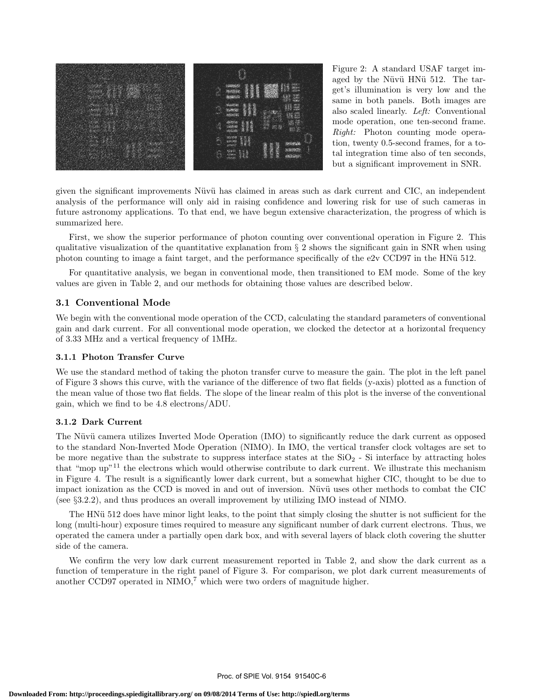

Figure 2: A standard USAF target imaged by the Nüvü HNü 512. The target's illumination is very low and the same in both panels. Both images are also scaled linearly. Left: Conventional mode operation, one ten-second frame. Right: Photon counting mode operation, twenty 0.5-second frames, for a total integration time also of ten seconds, but a significant improvement in SNR.

given the significant improvements Nüvü has claimed in areas such as dark current and CIC, an independent analysis of the performance will only aid in raising confidence and lowering risk for use of such cameras in future astronomy applications. To that end, we have begun extensive characterization, the progress of which is summarized here.

First, we show the superior performance of photon counting over conventional operation in Figure 2. This qualitative visualization of the quantitative explanation from  $\S 2$  shows the significant gain in SNR when using photon counting to image a faint target, and the performance specifically of the e2v CCD97 in the HNü 512.

For quantitative analysis, we began in conventional mode, then transitioned to EM mode. Some of the key values are given in Table 2, and our methods for obtaining those values are described below.

# 3.1 Conventional Mode

We begin with the conventional mode operation of the CCD, calculating the standard parameters of conventional gain and dark current. For all conventional mode operation, we clocked the detector at a horizontal frequency of 3.33 MHz and a vertical frequency of 1MHz.

# 3.1.1 Photon Transfer Curve

We use the standard method of taking the photon transfer curve to measure the gain. The plot in the left panel of Figure 3 shows this curve, with the variance of the difference of two flat fields (y-axis) plotted as a function of the mean value of those two flat fields. The slope of the linear realm of this plot is the inverse of the conventional gain, which we find to be 4.8 electrons/ADU.

# 3.1.2 Dark Current

The Nüvü camera utilizes Inverted Mode Operation (IMO) to significantly reduce the dark current as opposed to the standard Non-Inverted Mode Operation (NIMO). In IMO, the vertical transfer clock voltages are set to be more negative than the substrate to suppress interface states at the  $SiO<sub>2</sub>$  - Si interface by attracting holes that "mop up"<sup>11</sup> the electrons which would otherwise contribute to dark current. We illustrate this mechanism in Figure 4. The result is a significantly lower dark current, but a somewhat higher CIC, thought to be due to impact ionization as the CCD is moved in and out of inversion. Nüvü uses other methods to combat the CIC (see §3.2.2), and thus produces an overall improvement by utilizing IMO instead of NIMO.

The HNü 512 does have minor light leaks, to the point that simply closing the shutter is not sufficient for the long (multi-hour) exposure times required to measure any significant number of dark current electrons. Thus, we operated the camera under a partially open dark box, and with several layers of black cloth covering the shutter side of the camera.

We confirm the very low dark current measurement reported in Table 2, and show the dark current as a function of temperature in the right panel of Figure 3. For comparison, we plot dark current measurements of another CCD97 operated in  $NIMO<sub>1</sub><sup>7</sup>$  which were two orders of magnitude higher.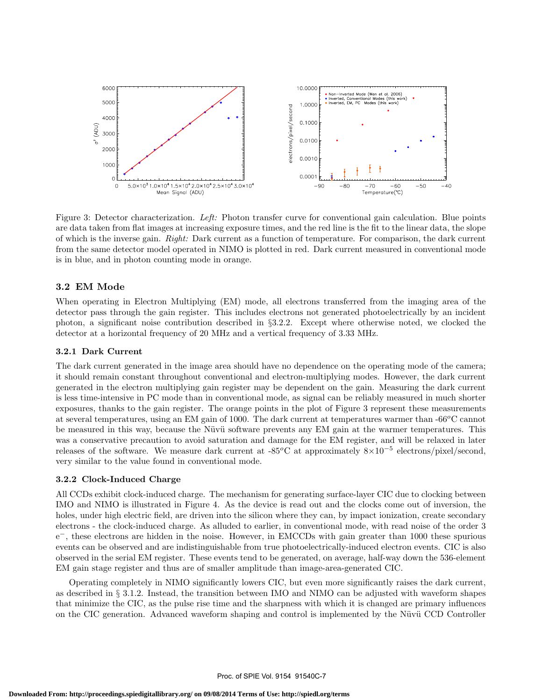

Figure 3: Detector characterization. Left: Photon transfer curve for conventional gain calculation. Blue points are data taken from flat images at increasing exposure times, and the red line is the fit to the linear data, the slope of which is the inverse gain. Right: Dark current as a function of temperature. For comparison, the dark current from the same detector model operated in NIMO is plotted in red. Dark current measured in conventional mode is in blue, and in photon counting mode in orange.

# 3.2 EM Mode

When operating in Electron Multiplying (EM) mode, all electrons transferred from the imaging area of the detector pass through the gain register. This includes electrons not generated photoelectrically by an incident photon, a significant noise contribution described in §3.2.2. Except where otherwise noted, we clocked the detector at a horizontal frequency of 20 MHz and a vertical frequency of 3.33 MHz.

#### 3.2.1 Dark Current

The dark current generated in the image area should have no dependence on the operating mode of the camera; it should remain constant throughout conventional and electron-multiplying modes. However, the dark current generated in the electron multiplying gain register may be dependent on the gain. Measuring the dark current is less time-intensive in PC mode than in conventional mode, as signal can be reliably measured in much shorter exposures, thanks to the gain register. The orange points in the plot of Figure 3 represent these measurements at several temperatures, using an EM gain of 1000. The dark current at temperatures warmer than  $-66^{\circ}$ C cannot be measured in this way, because the Nüvü software prevents any EM gain at the warmer temperatures. This was a conservative precaution to avoid saturation and damage for the EM register, and will be relaxed in later releases of the software. We measure dark current at -85 $\rm{^{\circ}C}$  at approximately  $8\times10^{-5}$  electrons/pixel/second, very similar to the value found in conventional mode.

# 3.2.2 Clock-Induced Charge

All CCDs exhibit clock-induced charge. The mechanism for generating surface-layer CIC due to clocking between IMO and NIMO is illustrated in Figure 4. As the device is read out and the clocks come out of inversion, the holes, under high electric field, are driven into the silicon where they can, by impact ionization, create secondary electrons - the clock-induced charge. As alluded to earlier, in conventional mode, with read noise of the order 3 e <sup>−</sup>, these electrons are hidden in the noise. However, in EMCCDs with gain greater than 1000 these spurious events can be observed and are indistinguishable from true photoelectrically-induced electron events. CIC is also observed in the serial EM register. These events tend to be generated, on average, half-way down the 536-element EM gain stage register and thus are of smaller amplitude than image-area-generated CIC.

Operating completely in NIMO significantly lowers CIC, but even more significantly raises the dark current, as described in § 3.1.2. Instead, the transition between IMO and NIMO can be adjusted with waveform shapes that minimize the CIC, as the pulse rise time and the sharpness with which it is changed are primary influences on the CIC generation. Advanced waveform shaping and control is implemented by the Nüvü CCD Controller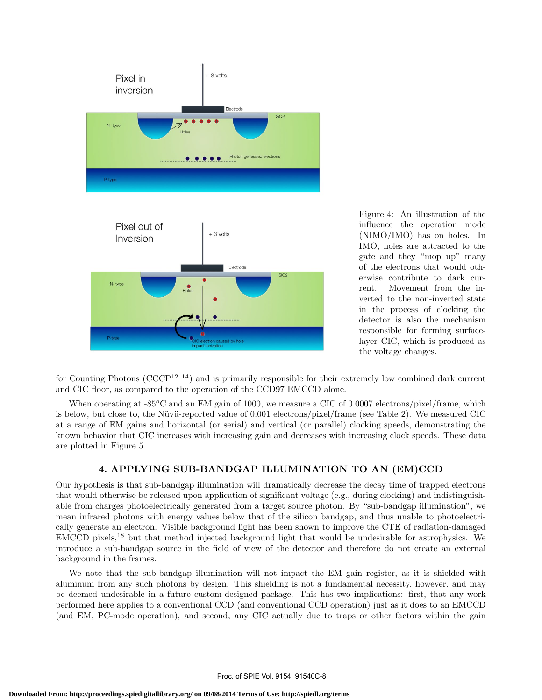

Figure 4: An illustration of the influence the operation mode (NIMO/IMO) has on holes. In IMO, holes are attracted to the gate and they "mop up" many of the electrons that would otherwise contribute to dark current. Movement from the inverted to the non-inverted state in the process of clocking the detector is also the mechanism responsible for forming surfacelayer CIC, which is produced as the voltage changes.

for Counting Photons ( $CCCP^{12-14}$ ) and is primarily responsible for their extremely low combined dark current and CIC floor, as compared to the operation of the CCD97 EMCCD alone.

When operating at  $-85^{\circ}$ C and an EM gain of 1000, we measure a CIC of 0.0007 electrons/pixel/frame, which is below, but close to, the Nüvü-reported value of 0.001 electrons/pixel/frame (see Table 2). We measured CIC at a range of EM gains and horizontal (or serial) and vertical (or parallel) clocking speeds, demonstrating the known behavior that CIC increases with increasing gain and decreases with increasing clock speeds. These data are plotted in Figure 5.

# 4. APPLYING SUB-BANDGAP ILLUMINATION TO AN (EM)CCD

Our hypothesis is that sub-bandgap illumination will dramatically decrease the decay time of trapped electrons that would otherwise be released upon application of significant voltage (e.g., during clocking) and indistinguishable from charges photoelectrically generated from a target source photon. By "sub-bandgap illumination", we mean infrared photons with energy values below that of the silicon bandgap, and thus unable to photoelectrically generate an electron. Visible background light has been shown to improve the CTE of radiation-damaged EMCCD pixels,<sup>18</sup> but that method injected background light that would be undesirable for astrophysics. We introduce a sub-bandgap source in the field of view of the detector and therefore do not create an external background in the frames.

We note that the sub-bandgap illumination will not impact the EM gain register, as it is shielded with aluminum from any such photons by design. This shielding is not a fundamental necessity, however, and may be deemed undesirable in a future custom-designed package. This has two implications: first, that any work performed here applies to a conventional CCD (and conventional CCD operation) just as it does to an EMCCD (and EM, PC-mode operation), and second, any CIC actually due to traps or other factors within the gain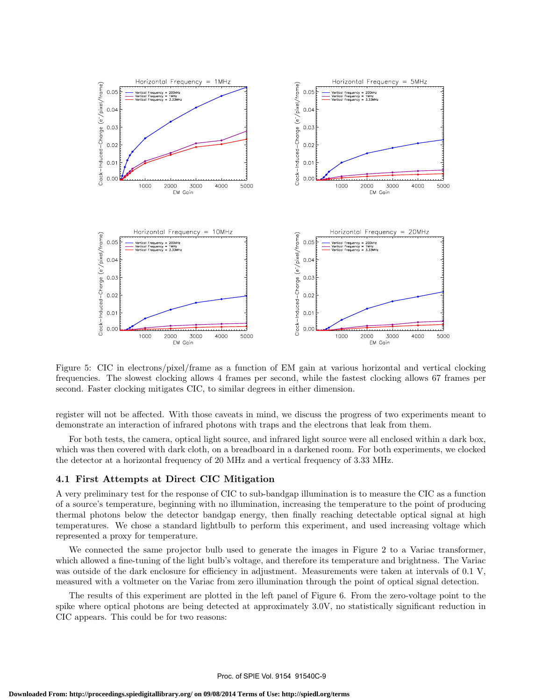

Figure 5: CIC in electrons/pixel/frame as a function of EM gain at various horizontal and vertical clocking frequencies. The slowest clocking allows 4 frames per second, while the fastest clocking allows 67 frames per second. Faster clocking mitigates CIC, to similar degrees in either dimension.

register will not be affected. With those caveats in mind, we discuss the progress of two experiments meant to demonstrate an interaction of infrared photons with traps and the electrons that leak from them.

For both tests, the camera, optical light source, and infrared light source were all enclosed within a dark box, which was then covered with dark cloth, on a breadboard in a darkened room. For both experiments, we clocked the detector at a horizontal frequency of 20 MHz and a vertical frequency of 3.33 MHz.

# 4.1 First Attempts at Direct CIC Mitigation

A very preliminary test for the response of CIC to sub-bandgap illumination is to measure the CIC as a function of a source's temperature, beginning with no illumination, increasing the temperature to the point of producing thermal photons below the detector bandgap energy, then finally reaching detectable optical signal at high temperatures. We chose a standard lightbulb to perform this experiment, and used increasing voltage which represented a proxy for temperature.

We connected the same projector bulb used to generate the images in Figure 2 to a Variac transformer, which allowed a fine-tuning of the light bulb's voltage, and therefore its temperature and brightness. The Variac was outside of the dark enclosure for efficiency in adjustment. Measurements were taken at intervals of 0.1 V, measured with a voltmeter on the Variac from zero illumination through the point of optical signal detection.

The results of this experiment are plotted in the left panel of Figure 6. From the zero-voltage point to the spike where optical photons are being detected at approximately 3.0V, no statistically significant reduction in CIC appears. This could be for two reasons: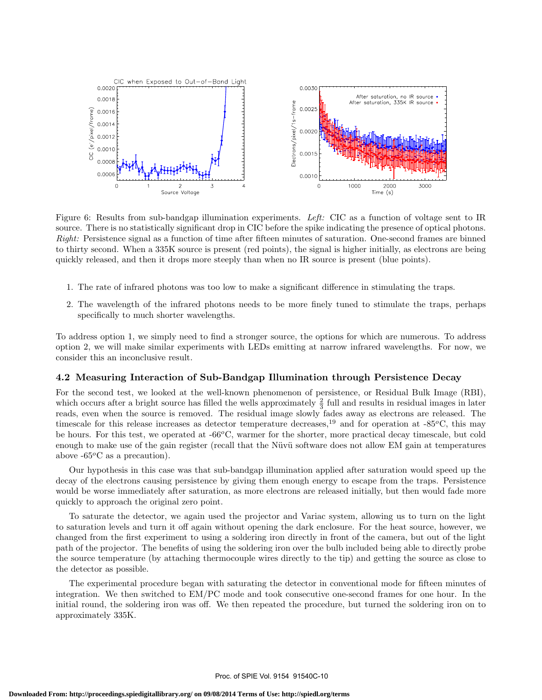

Figure 6: Results from sub-bandgap illumination experiments. Left: CIC as a function of voltage sent to IR source. There is no statistically significant drop in CIC before the spike indicating the presence of optical photons. Right: Persistence signal as a function of time after fifteen minutes of saturation. One-second frames are binned to thirty second. When a 335K source is present (red points), the signal is higher initially, as electrons are being quickly released, and then it drops more steeply than when no IR source is present (blue points).

- 1. The rate of infrared photons was too low to make a significant difference in stimulating the traps.
- 2. The wavelength of the infrared photons needs to be more finely tuned to stimulate the traps, perhaps specifically to much shorter wavelengths.

To address option 1, we simply need to find a stronger source, the options for which are numerous. To address option 2, we will make similar experiments with LEDs emitting at narrow infrared wavelengths. For now, we consider this an inconclusive result.

#### 4.2 Measuring Interaction of Sub-Bandgap Illumination through Persistence Decay

For the second test, we looked at the well-known phenomenon of persistence, or Residual Bulk Image (RBI), which occurs after a bright source has filled the wells approximately  $\frac{2}{3}$  full and results in residual images in later reads, even when the source is removed. The residual image slowly fades away as electrons are released. The timescale for this release increases as detector temperature decreases,<sup>19</sup> and for operation at -85 $^{\circ}$ C, this may be hours. For this test, we operated at  $-66^{\circ}\text{C}$ , warmer for the shorter, more practical decay timescale, but cold enough to make use of the gain register (recall that the Nüvü software does not allow EM gain at temperatures above  $-65^{\circ}$ C as a precaution).

Our hypothesis in this case was that sub-bandgap illumination applied after saturation would speed up the decay of the electrons causing persistence by giving them enough energy to escape from the traps. Persistence would be worse immediately after saturation, as more electrons are released initially, but then would fade more quickly to approach the original zero point.

To saturate the detector, we again used the projector and Variac system, allowing us to turn on the light to saturation levels and turn it off again without opening the dark enclosure. For the heat source, however, we changed from the first experiment to using a soldering iron directly in front of the camera, but out of the light path of the projector. The benefits of using the soldering iron over the bulb included being able to directly probe the source temperature (by attaching thermocouple wires directly to the tip) and getting the source as close to the detector as possible.

The experimental procedure began with saturating the detector in conventional mode for fifteen minutes of integration. We then switched to EM/PC mode and took consecutive one-second frames for one hour. In the initial round, the soldering iron was off. We then repeated the procedure, but turned the soldering iron on to approximately 335K.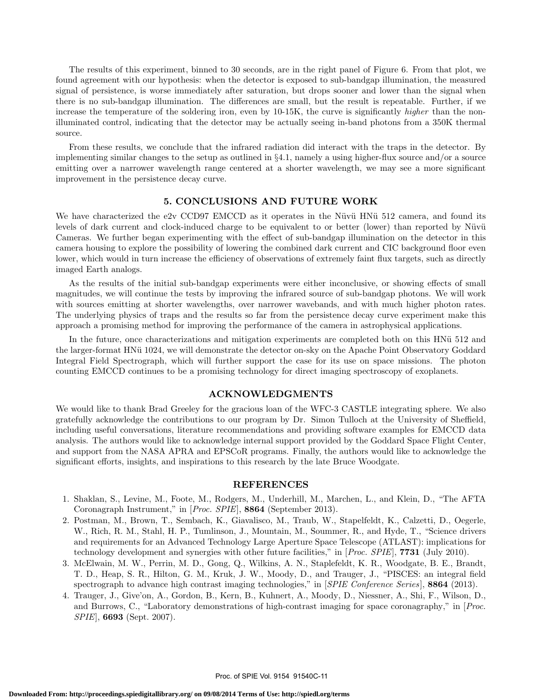The results of this experiment, binned to 30 seconds, are in the right panel of Figure 6. From that plot, we found agreement with our hypothesis: when the detector is exposed to sub-bandgap illumination, the measured signal of persistence, is worse immediately after saturation, but drops sooner and lower than the signal when there is no sub-bandgap illumination. The differences are small, but the result is repeatable. Further, if we increase the temperature of the soldering iron, even by 10-15K, the curve is significantly *higher* than the nonilluminated control, indicating that the detector may be actually seeing in-band photons from a 350K thermal source.

From these results, we conclude that the infrared radiation did interact with the traps in the detector. By implementing similar changes to the setup as outlined in §4.1, namely a using higher-flux source and/or a source emitting over a narrower wavelength range centered at a shorter wavelength, we may see a more significant improvement in the persistence decay curve.

# 5. CONCLUSIONS AND FUTURE WORK

We have characterized the e2v CCD97 EMCCD as it operates in the Nüvü HNü 512 camera, and found its levels of dark current and clock-induced charge to be equivalent to or better (lower) than reported by Nüvü Cameras. We further began experimenting with the effect of sub-bandgap illumination on the detector in this camera housing to explore the possibility of lowering the combined dark current and CIC background floor even lower, which would in turn increase the efficiency of observations of extremely faint flux targets, such as directly imaged Earth analogs.

As the results of the initial sub-bandgap experiments were either inconclusive, or showing effects of small magnitudes, we will continue the tests by improving the infrared source of sub-bandgap photons. We will work with sources emitting at shorter wavelengths, over narrower wavebands, and with much higher photon rates. The underlying physics of traps and the results so far from the persistence decay curve experiment make this approach a promising method for improving the performance of the camera in astrophysical applications.

In the future, once characterizations and mitigation experiments are completed both on this HNü 512 and the larger-format HNü 1024, we will demonstrate the detector on-sky on the Apache Point Observatory Goddard Integral Field Spectrograph, which will further support the case for its use on space missions. The photon counting EMCCD continues to be a promising technology for direct imaging spectroscopy of exoplanets.

#### ACKNOWLEDGMENTS

We would like to thank Brad Greeley for the gracious loan of the WFC-3 CASTLE integrating sphere. We also gratefully acknowledge the contributions to our program by Dr. Simon Tulloch at the University of Sheffield, including useful conversations, literature recommendations and providing software examples for EMCCD data analysis. The authors would like to acknowledge internal support provided by the Goddard Space Flight Center, and support from the NASA APRA and EPSCoR programs. Finally, the authors would like to acknowledge the significant efforts, insights, and inspirations to this research by the late Bruce Woodgate.

### REFERENCES

- 1. Shaklan, S., Levine, M., Foote, M., Rodgers, M., Underhill, M., Marchen, L., and Klein, D., "The AFTA Coronagraph Instrument," in [Proc. SPIE], 8864 (September 2013).
- 2. Postman, M., Brown, T., Sembach, K., Giavalisco, M., Traub, W., Stapelfeldt, K., Calzetti, D., Oegerle, W., Rich, R. M., Stahl, H. P., Tumlinson, J., Mountain, M., Soummer, R., and Hyde, T., "Science drivers and requirements for an Advanced Technology Large Aperture Space Telescope (ATLAST): implications for technology development and synergies with other future facilities," in [*Proc. SPIE*], **7731** (July 2010).
- 3. McElwain, M. W., Perrin, M. D., Gong, Q., Wilkins, A. N., Staplefeldt, K. R., Woodgate, B. E., Brandt, T. D., Heap, S. R., Hilton, G. M., Kruk, J. W., Moody, D., and Trauger, J., "PISCES: an integral field spectrograph to advance high contrast imaging technologies," in  $[SPIE$  Conference Series], 8864 (2013).
- 4. Trauger, J., Give'on, A., Gordon, B., Kern, B., Kuhnert, A., Moody, D., Niessner, A., Shi, F., Wilson, D., and Burrows, C., "Laboratory demonstrations of high-contrast imaging for space coronagraphy," in [Proc. SPIE], 6693 (Sept. 2007).